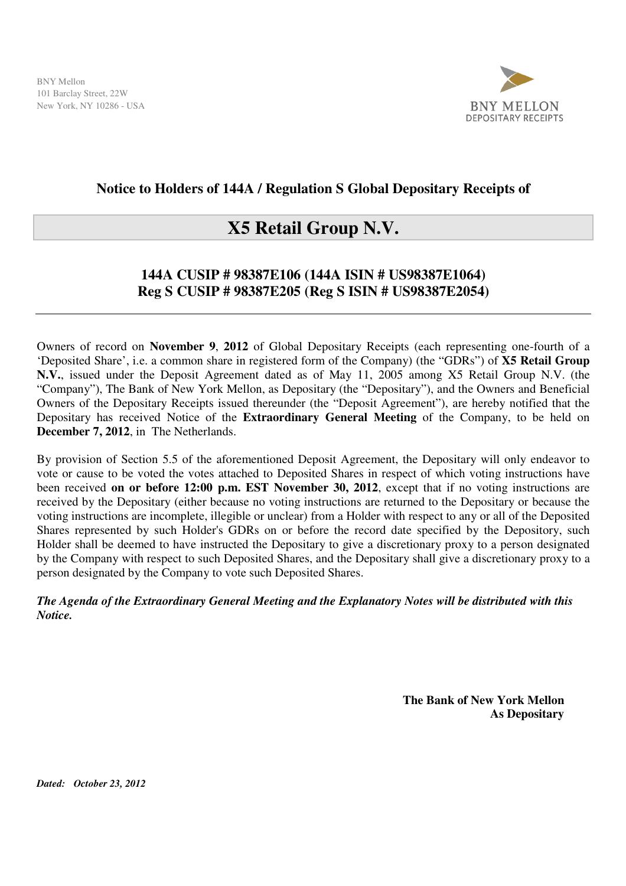

## **Notice to Holders of 144A / Regulation S Global Depositary Receipts of**

# **X5 Retail Group N.V.**

### **144A CUSIP # 98387E106 (144A ISIN # US98387E1064) Reg S CUSIP # 98387E205 (Reg S ISIN # US98387E2054)**

Owners of record on **November 9**, **2012** of Global Depositary Receipts (each representing one-fourth of a 'Deposited Share', i.e. a common share in registered form of the Company) (the "GDRs") of **X5 Retail Group N.V.**, issued under the Deposit Agreement dated as of May 11, 2005 among X5 Retail Group N.V. (the "Company"), The Bank of New York Mellon, as Depositary (the "Depositary"), and the Owners and Beneficial Owners of the Depositary Receipts issued thereunder (the "Deposit Agreement"), are hereby notified that the Depositary has received Notice of the **Extraordinary General Meeting** of the Company, to be held on **December 7, 2012**, in The Netherlands.

By provision of Section 5.5 of the aforementioned Deposit Agreement, the Depositary will only endeavor to vote or cause to be voted the votes attached to Deposited Shares in respect of which voting instructions have been received **on or before 12:00 p.m. EST November 30, 2012**, except that if no voting instructions are received by the Depositary (either because no voting instructions are returned to the Depositary or because the voting instructions are incomplete, illegible or unclear) from a Holder with respect to any or all of the Deposited Shares represented by such Holder's GDRs on or before the record date specified by the Depository, such Holder shall be deemed to have instructed the Depositary to give a discretionary proxy to a person designated by the Company with respect to such Deposited Shares, and the Depositary shall give a discretionary proxy to a person designated by the Company to vote such Deposited Shares.

*The Agenda of the Extraordinary General Meeting and the Explanatory Notes will be distributed with this Notice.* 

> **The Bank of New York Mellon As Depositary**

*Dated: October 23, 2012*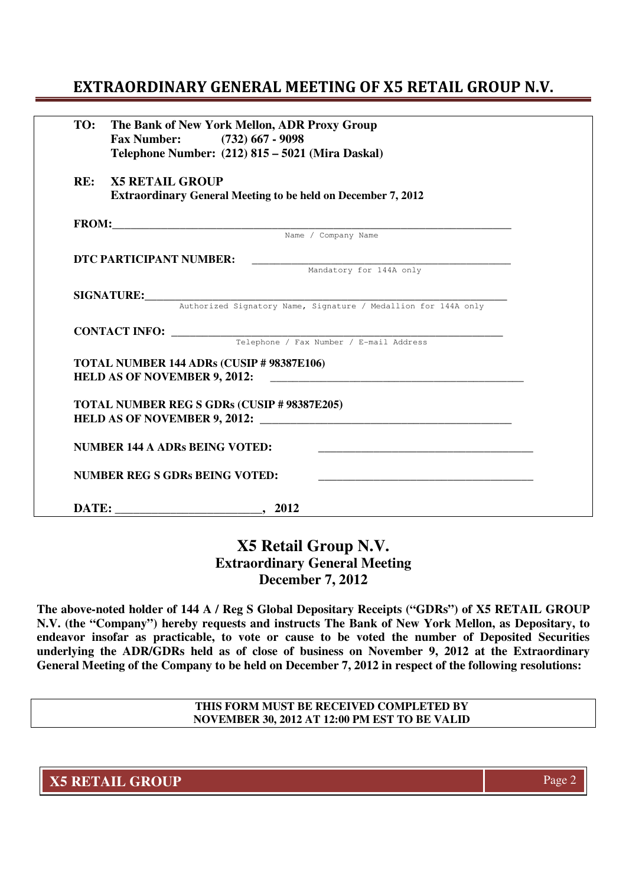## EXTRAORDINARY GENERAL MEETING OF X5 RETAIL GROUP N.V.

| TO: | The Bank of New York Mellon, ADR Proxy Group<br>Fax Number: (732) 667 - 9098<br>Telephone Number: (212) 815 - 5021 (Mira Daskal) |  |
|-----|----------------------------------------------------------------------------------------------------------------------------------|--|
| RE: | <b>X5 RETAIL GROUP</b><br><b>Extraordinary General Meeting to be held on December 7, 2012</b>                                    |  |
|     | FROM: Name / Company Name                                                                                                        |  |
|     |                                                                                                                                  |  |
|     | DTC PARTICIPANT NUMBER:                                                                                                          |  |
|     | Mandatory for 144A only                                                                                                          |  |
|     |                                                                                                                                  |  |
|     | SIGNATURE: Authorized Signatory Name, Signature / Medallion for 144A only                                                        |  |
|     |                                                                                                                                  |  |
|     |                                                                                                                                  |  |
|     | TOTAL NUMBER 144 ADRs (CUSIP # 98387E106)<br>HELD AS OF NOVEMBER 9, 2012:                                                        |  |
|     | <b>TOTAL NUMBER REG S GDRs (CUSIP # 98387E205)</b>                                                                               |  |
|     | <b>NUMBER 144 A ADRs BEING VOTED:</b>                                                                                            |  |
|     | <b>NUMBER REG S GDRs BEING VOTED:</b>                                                                                            |  |
|     | $-$ , 2012                                                                                                                       |  |

#### **X5 Retail Group N.V. Extraordinary General Meeting December 7, 2012**

**The above-noted holder of 144 A / Reg S Global Depositary Receipts ("GDRs") of X5 RETAIL GROUP N.V. (the "Company") hereby requests and instructs The Bank of New York Mellon, as Depositary, to endeavor insofar as practicable, to vote or cause to be voted the number of Deposited Securities underlying the ADR/GDRs held as of close of business on November 9, 2012 at the Extraordinary General Meeting of the Company to be held on December 7, 2012 in respect of the following resolutions:** 

> **THIS FORM MUST BE RECEIVED COMPLETED BY NOVEMBER 30, 2012 AT 12:00 PM EST TO BE VALID**

**X5 RETAIL GROUP** Page 2